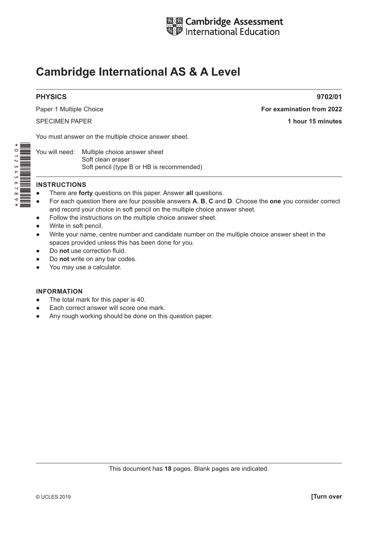

# **Cambridge International AS & A Level**

## **PHYSICS** 9702/01

Paper 1 Multiple Choice **For examination from 2022** SPECIMEN PAPER **1 hour 15 minutes**

You must answer on the multiple choice answer sheet.

You will need: Multiple choice answer sheet Soft clean eraser Soft pencil (type B or HB is recommended)

#### **INSTRUCTIONS**

- There are **forty** questions on this paper. Answer **all** questions.
- For each question there are four possible answers **A**, **B**, **C** and **D**. Choose the **one** you consider correct and record your choice in soft pencil on the multiple choice answer sheet.
- Follow the instructions on the multiple choice answer sheet.
- Write in soft pencil.
- Write your name, centre number and candidate number on the multiple choice answer sheet in the spaces provided unless this has been done for you.
- Do **not** use correction fluid.
- Do **not** write on any bar codes.
- You may use a calculator.

#### **INFORMATION**

- The total mark for this paper is 40.
- Each correct answer will score one mark.
- Any rough working should be done on this question paper.

This document has **18** pages. Blank pages are indicated.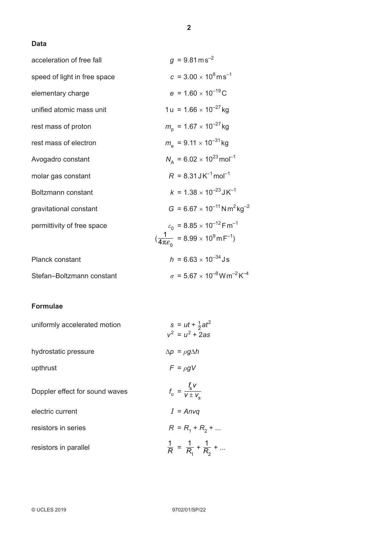# **Data**

| acceleration of free fall    | $g = 9.81 \text{ ms}^{-2}$                                                                                                                   |
|------------------------------|----------------------------------------------------------------------------------------------------------------------------------------------|
| speed of light in free space | $c = 3.00 \times 10^8 \text{ms}^{-1}$                                                                                                        |
| elementary charge            | $e = 1.60 \times 10^{-19}$ C                                                                                                                 |
| unified atomic mass unit     | 1 u = $1.66 \times 10^{-27}$ kg                                                                                                              |
| rest mass of proton          | $m_{\rm p}$ = 1.67 $\times$ 10 <sup>-27</sup> kg                                                                                             |
| rest mass of electron        | $m_e$ = 9.11 $\times$ 10 <sup>-31</sup> kg                                                                                                   |
| Avogadro constant            | $N_A = 6.02 \times 10^{23}$ mol <sup>-1</sup>                                                                                                |
| molar gas constant           | $R = 8.31 \text{ J K}^{-1} \text{mol}^{-1}$                                                                                                  |
| Boltzmann constant           | $k = 1.38 \times 10^{-23}$ J K <sup>-1</sup>                                                                                                 |
| gravitational constant       | $G = 6.67 \times 10^{-11}$ N m <sup>2</sup> kg <sup>-2</sup>                                                                                 |
| permittivity of free space   | $\varepsilon_0$ = 8.85 × 10 <sup>-12</sup> F m <sup>-1</sup><br>$(\frac{1}{4\pi \varepsilon_0}$ = 8.99 × 10 <sup>9</sup> m F <sup>-1</sup> ) |
| Planck constant              | $h = 6.63 \times 10^{-34}$ Js                                                                                                                |
| Stefan-Boltzmann constant    | $\sigma = 5.67 \times 10^{-8}$ W m <sup>-2</sup> K <sup>-4</sup>                                                                             |

# **Formulae**

| uniformly accelerated motion   | $s = ut + \frac{1}{2}at^2$<br>$v^2 = u^2 + 2as$     |
|--------------------------------|-----------------------------------------------------|
| hydrostatic pressure           | $\Delta p = \rho g \Delta h$                        |
| upthrust                       | $F = \rho g V$                                      |
| Doppler effect for sound waves | $f_{\rm o} = \frac{f_{\rm s}V}{V \pm V_{\rm s}}$    |
| electric current               | $I = Anvq$                                          |
| resistors in series            | $R = R_1 + R_2 + $                                  |
| resistors in parallel          | $\frac{1}{R}$ = $\frac{1}{R_1}$ + $\frac{1}{R_2}$ + |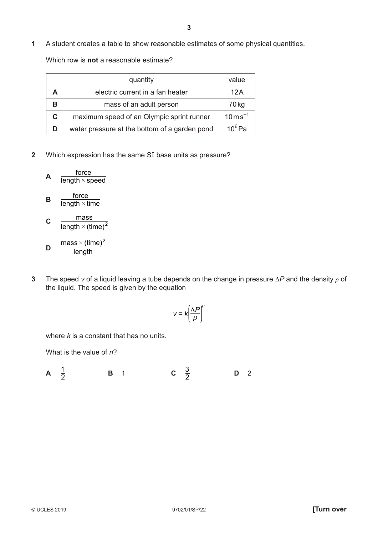**1** A student creates a table to show reasonable estimates of some physical quantities.

Which row is **not** a reasonable estimate?

|   | quantity                                      | value                     |
|---|-----------------------------------------------|---------------------------|
|   | electric current in a fan heater              | 12A                       |
|   | mass of an adult person                       | 70 <sub>kg</sub>          |
| C | maximum speed of an Olympic sprint runner     | $10 \,\mathrm{m\,s}^{-1}$ |
|   | water pressure at the bottom of a garden pond | $10^6$ Pa                 |

**2** Which expression has the same SI base units as pressure?

$$
A \quad \frac{\text{force}}{\text{length} \times \text{speed}}
$$

$$
B = \frac{I \cup C}{\text{length} \times \text{time}}
$$

- **C**  length  $\times$  (time)<sup>2</sup> mass
- **D length** mass  $\times$  (time) $^2$
- **3** The speed *v* of a liquid leaving a tube depends on the change in pressure ΔP and the density  $ρ$  of the liquid. The speed is given by the equation

$$
V = k \left(\frac{\Delta P}{\rho}\right)^n
$$

where *k* is a constant that has no units.

What is the value of *n*?

**A**  $\frac{1}{2}$ **B** 1 **C**  $\frac{3}{2}$ <sup>3</sup> **<sup>D</sup>**<sup>2</sup>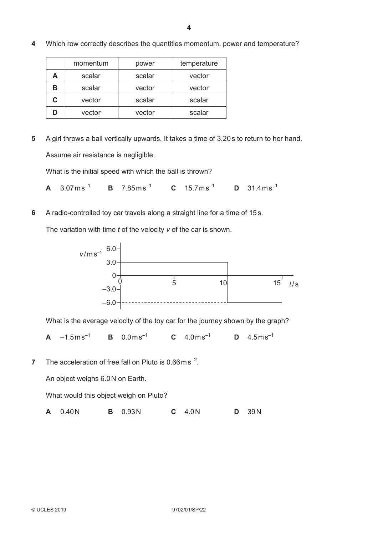- momentum | power | temperature A scalar scalar vector **B** scalar vector vector **C** vector scalar scalar **D** vector vector scalar
- **4** Which row correctly describes the quantities momentum, power and temperature?

**5** A girl throws a ball vertically upwards. It takes a time of 3.20 s to return to her hand. Assume air resistance is negligible.

What is the initial speed with which the ball is thrown?

- **A**  $3.07 \text{ ms}^{-1}$  **B**  $7.85 \text{ ms}^{-1}$  **C**  $15.7 \text{ ms}^{-1}$  **D**  $31.4 \text{ ms}^{-1}$
- **6** A radio-controlled toy car travels along a straight line for a time of 15 s.

The variation with time *t* of the velocity *v* of the car is shown.



What is the average velocity of the toy car for the journey shown by the graph?

**A**  $-1.5 \text{ms}^{-1}$  **B**  $0.0 \text{ms}^{-1}$  **C**  $4.0 \text{ms}^{-1}$  **D**  $4.5 \text{ms}^{-1}$ 

**7** The acceleration of free fall on Pluto is 0.66 m s<sup>-2</sup>.

An object weighs 6.0 N on Earth.

What would this object weigh on Pluto?

**A** 0.40 N **B** 0.93 N **C** 4.0 N **D** 39 N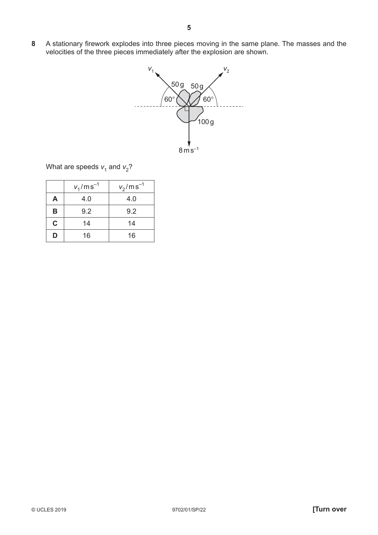**8** A stationary firework explodes into three pieces moving in the same plane. The masses and the velocities of the three pieces immediately after the explosion are shown.



What are speeds  $v_1$  and  $v_2$ ?

| $v_1$ /ms <sup>-1</sup> |     | $v_2$ /ms <sup>-1</sup> |
|-------------------------|-----|-------------------------|
| A                       | 4.0 | 4.0                     |
| B                       | 9.2 | 9.2                     |
| $\mathbf C$             | 14  | 14                      |
| D                       | 16  | 16                      |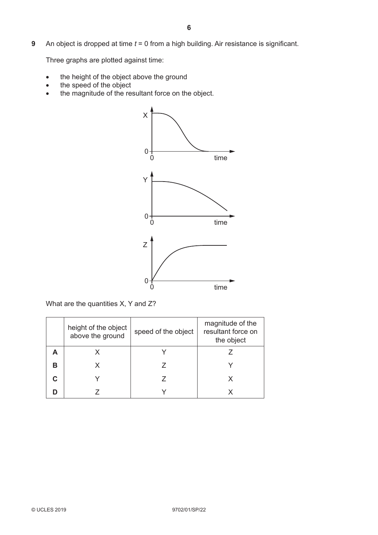**9** An object is dropped at time *t* = 0 from a high building. Air resistance is significant.

Three graphs are plotted against time:

- the height of the object above the ground
- $\bullet$  the speed of the object
- the magnitude of the resultant force on the object.



What are the quantities X, Y and Z?

|   | height of the object<br>above the ground | speed of the object | magnitude of the<br>resultant force on<br>the object |
|---|------------------------------------------|---------------------|------------------------------------------------------|
|   |                                          |                     |                                                      |
| в |                                          |                     |                                                      |
|   |                                          |                     |                                                      |
|   |                                          |                     |                                                      |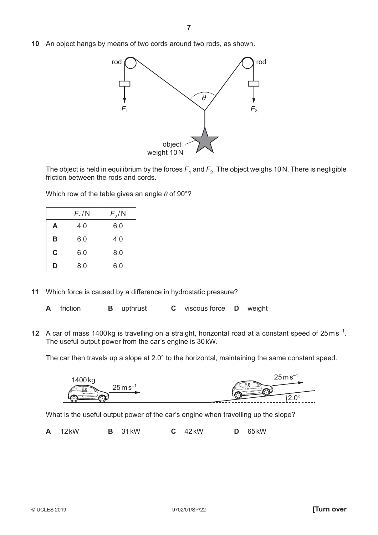**10** An object hangs by means of two cords around two rods, as shown.



The object is held in equilibrium by the forces  $F_1$  and  $F_2$ . The object weighs 10 N. There is negligible friction between the rods and cords.

Which row of the table gives an angle *θ* of 90°?

|   | $F_1/N$ | $F_2/N$ |
|---|---------|---------|
| A | 4.0     | 6.0     |
| в | 6.0     | 4.0     |
| C | 6.0     | 8.0     |
| D | 8.0     | 6.0     |

- **11** Which force is caused by a difference in hydrostatic pressure?
	- **A** friction **B** upthrust **C** viscous force **D** weight
- **12** A car of mass 1400 kg is travelling on a straight, horizontal road at a constant speed of 25 m s<sup>-1</sup>. The useful output power from the car's engine is 30 kW.

The car then travels up a slope at 2.0° to the horizontal, maintaining the same constant speed.



What is the useful output power of the car's engine when travelling up the slope?

**A** 12 kW **B** 31 kW **C** 42 kW **D** 65 kW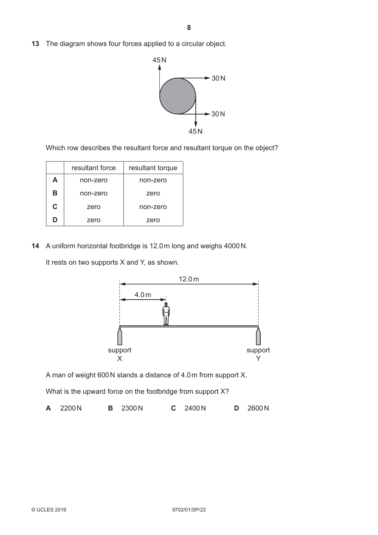**13** The diagram shows four forces applied to a circular object.



Which row describes the resultant force and resultant torque on the object?

|               | resultant force | resultant torque |
|---------------|-----------------|------------------|
| A<br>non-zero |                 | non-zero         |
| в             | non-zero        | zero             |
| C<br>zero     |                 | non-zero         |
| ח             | zero            | zero             |

**14** A uniform horizontal footbridge is 12.0 m long and weighs 4000 N.

It rests on two supports X and Y, as shown.



A man of weight 600 N stands a distance of 4.0 m from support X.

What is the upward force on the footbridge from support X?

|  | A 2200N |  | <b>B</b> 2300N |  | C 2400N |  | <b>D</b> 2600N |
|--|---------|--|----------------|--|---------|--|----------------|
|--|---------|--|----------------|--|---------|--|----------------|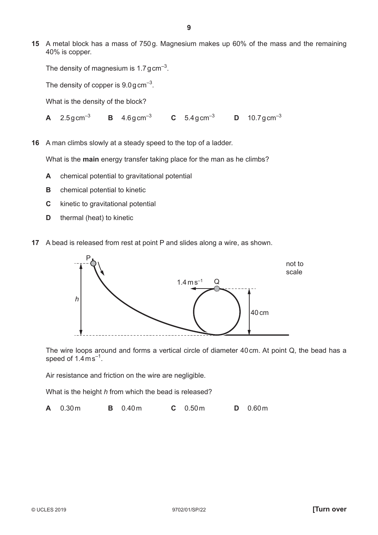**15** A metal block has a mass of 750 g. Magnesium makes up 60% of the mass and the remaining 40% is copper.

```
The density of magnesium is 1.7 g cm<sup>-3</sup>.
```
The density of copper is  $9.0$  g cm<sup>-3</sup>.

What is the density of the block?

**A** 2.5 g cm<sup>-3</sup> **B** 4.6 g cm<sup>-3</sup> **C** 5.4 g cm<sup>-3</sup> **D** 10.7 g cm<sup>-3</sup>

**16** A man climbs slowly at a steady speed to the top of a ladder.

What is the **main** energy transfer taking place for the man as he climbs?

- **A** chemical potential to gravitational potential
- **B** chemical potential to kinetic
- **C** kinetic to gravitational potential
- **D** thermal (heat) to kinetic
- **17** A bead is released from rest at point P and slides along a wire, as shown.



The wire loops around and forms a vertical circle of diameter 40 cm. At point Q, the bead has a speed of  $1.4 \text{ ms}^{-1}$ .

Air resistance and friction on the wire are negligible.

What is the height *h* from which the bead is released?

**A** 0.30 m **B** 0.40 m **C** 0.50 m **D** 0.60 m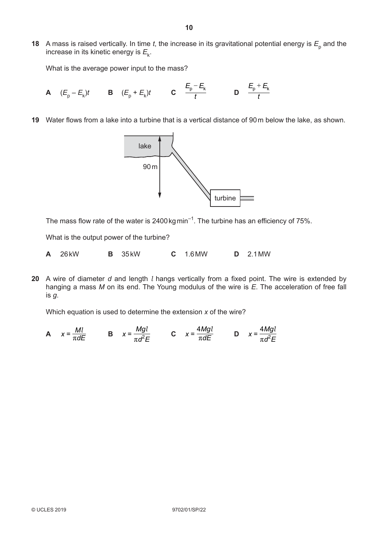**18** A mass is raised vertically. In time *t*, the increase in its gravitational potential energy is  $E_{\text{p}}$  and the increase in its kinetic energy is  $E_k$ .

What is the average power input to the mass?

- **A**  $(E_p E_k)t$  **B**  $(E_p + E_k)t$  **C**  $\frac{p}{t}$  $\frac{E_p - E_k}{t}$  **D**  $\frac{E_p + t}{t}$  $E_{\rm p}$  +  $E_{\rm k}$
- **19** Water flows from a lake into a turbine that is a vertical distance of 90 m below the lake, as shown.



The mass flow rate of the water is  $2400 \text{ kg min}^{-1}$ . The turbine has an efficiency of 75%.

What is the output power of the turbine?

**A** 26 kW **B** 35 kW **C** 1.6 MW **D** 2.1 MW

**20** A wire of diameter *d* and length *l* hangs vertically from a fixed point. The wire is extended by hanging a mass *M* on its end. The Young modulus of the wire is *E*. The acceleration of free fall is *g*.

Which equation is used to determine the extension *x* of the wire?

**A**  $x = \frac{Ml}{\pi dE}$  **B**  $x = \frac{Mgl}{\pi d^2 E}$ *d E Mg*  $=\frac{Mgl}{\pi d^2 E}$  **C**  $x = \frac{4Mgl}{\pi dE}$  **D**  $x = \frac{4Mgl}{\pi d^2 E}$ *d E* 4*Mg*  $=\frac{1}{\pi d^2}$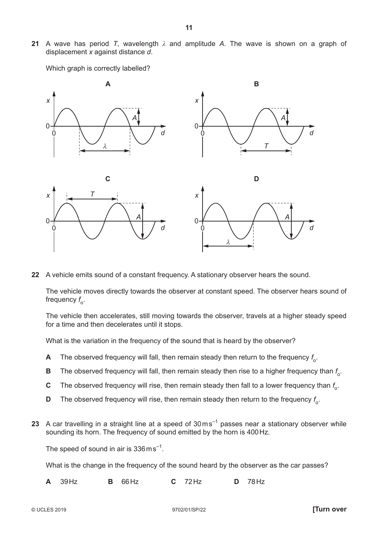**21** A wave has period *T*, wavelength *λ* and amplitude *A*. The wave is shown on a graph of displacement *x* against distance *d*.

**11**

 $\Omega$ 0 **A** *d T* 0 0 **B** *d x*  $\overline{0}$ *x x x T*  $\Omega$ 0 **C** *d* λ 0 **D** *d A A* λ *A A A A A A A A A A* 

Which graph is correctly labelled?

**22** A vehicle emits sound of a constant frequency. A stationary observer hears the sound.

The vehicle moves directly towards the observer at constant speed. The observer hears sound of frequency  $f_{\rm o}$ .

The vehicle then accelerates, still moving towards the observer, travels at a higher steady speed for a time and then decelerates until it stops.

What is the variation in the frequency of the sound that is heard by the observer?

- **A** The observed frequency will fall, then remain steady then return to the frequency  $f_\text{o}$ .
- **B** The observed frequency will fall, then remain steady then rise to a higher frequency than  $f_{\text{o}}$ .
- ${\bf C}$   $\;\;\;$  The observed frequency will rise, then remain steady then fall to a lower frequency than  $f_{\rm o}$ .
- **D** The observed frequency will rise, then remain steady then return to the frequency  $f_\text{o}$ .
- **23** A car travelling in a straight line at a speed of 30 ms<sup>-1</sup> passes near a stationary observer while sounding its horn. The frequency of sound emitted by the horn is 400 Hz.

The speed of sound in air is  $336 \text{ ms}^{-1}$ .

What is the change in the frequency of the sound heard by the observer as the car passes?

**A** 39 Hz **B** 66 Hz **C** 72 Hz **D** 78 Hz

© UCLES 2019 9702/01/SP/22 **[Turn over**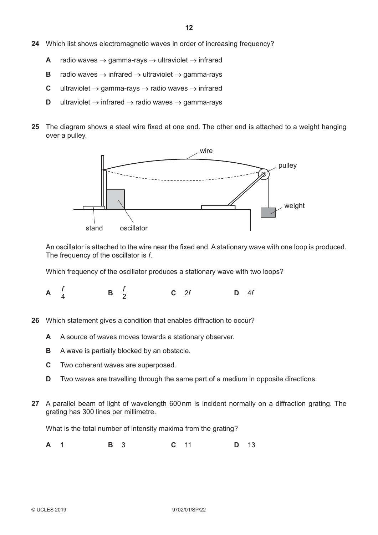- **24** Which list shows electromagnetic waves in order of increasing frequency?
	- **A** radio waves  $\rightarrow$  gamma-rays  $\rightarrow$  ultraviolet  $\rightarrow$  infrared
	- **B** radio waves  $\rightarrow$  infrared  $\rightarrow$  ultraviolet  $\rightarrow$  gamma-rays
	- **C** ultraviolet  $\rightarrow$  gamma-rays  $\rightarrow$  radio waves  $\rightarrow$  infrared
	- **D** ultraviolet  $\rightarrow$  infrared  $\rightarrow$  radio waves  $\rightarrow$  gamma-rays
- **25** The diagram shows a steel wire fixed at one end. The other end is attached to a weight hanging over a pulley.



An oscillator is attached to the wire near the fixed end. A stationary wave with one loop is produced. The frequency of the oscillator is *f*.

Which frequency of the oscillator produces a stationary wave with two loops?

A  $\frac{f}{4}$  $\frac{f}{2}$ <sup>2</sup> **<sup>C</sup>** 2*<sup>f</sup>* **<sup>D</sup>** 4*<sup>f</sup>*

- **26** Which statement gives a condition that enables diffraction to occur?
	- **A** A source of waves moves towards a stationary observer.
	- **B** A wave is partially blocked by an obstacle.
	- **C** Two coherent waves are superposed.
	- **D** Two waves are travelling through the same part of a medium in opposite directions.
- **27** A parallel beam of light of wavelength 600 nm is incident normally on a diffraction grating. The grating has 300 lines per millimetre.

What is the total number of intensity maxima from the grating?

**A** 1 **B** 3 **C** 11 **D** 13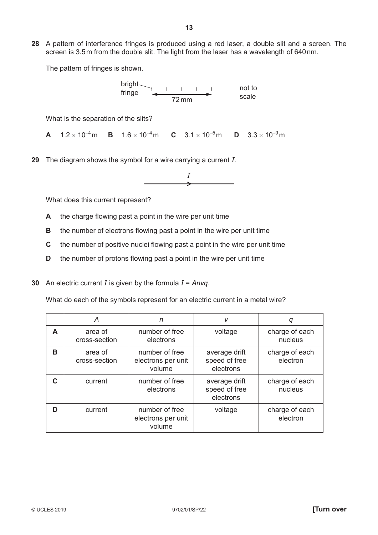**28** A pattern of interference fringes is produced using a red laser, a double slit and a screen. The screen is 3.5 m from the double slit. The light from the laser has a wavelength of 640 nm.

The pattern of fringes is shown.

72 mm not to scale bright fringe

What is the separation of the slits?

**A**  $1.2 \times 10^{-4}$  m **B**  $1.6 \times 10^{-4}$  m **C**  $3.1 \times 10^{-5}$  m **D**  $3.3 \times 10^{-9}$  m

**29** The diagram shows the symbol for a wire carrying a current *I*.

$$
\overbrace{\hspace{1.5cm}}^I
$$

What does this current represent?

- **A** the charge flowing past a point in the wire per unit time
- **B** the number of electrons flowing past a point in the wire per unit time
- **C** the number of positive nuclei flowing past a point in the wire per unit time
- **D** the number of protons flowing past a point in the wire per unit time
- **30** An electric current *I* is given by the formula *I* = *Anvq*.

What do each of the symbols represent for an electric current in a metal wire?

|   | A                        | n                                              | V                                           | q                          |
|---|--------------------------|------------------------------------------------|---------------------------------------------|----------------------------|
| A | area of<br>cross-section | number of free<br>electrons                    | voltage                                     | charge of each<br>nucleus  |
| В | area of<br>cross-section | number of free<br>electrons per unit<br>volume | average drift<br>speed of free<br>electrons | charge of each<br>electron |
|   | current                  | number of free<br>electrons                    | average drift<br>speed of free<br>electrons | charge of each<br>nucleus  |
| D | current                  | number of free<br>electrons per unit<br>volume | voltage                                     | charge of each<br>electron |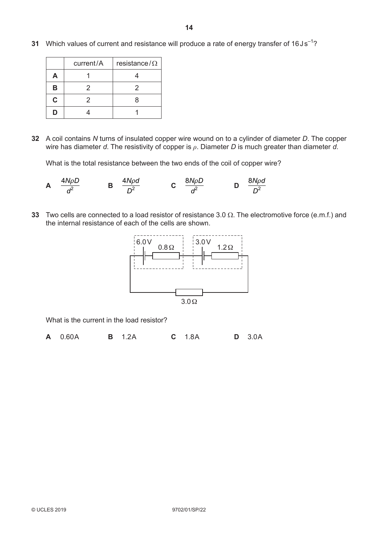**31** Which values of current and resistance will produce a rate of energy transfer of 16Js<sup>-1</sup>?

|    | current/A<br>resistance/ $\Omega$ |   |
|----|-----------------------------------|---|
| Д  |                                   |   |
| в  | 2                                 | 2 |
| C. | 2                                 | 8 |
| D  |                                   |   |

**32** A coil contains *N* turns of insulated copper wire wound on to a cylinder of diameter *D*. The copper wire has diameter *d*. The resistivity of copper is *ρ*. Diameter *D* is much greater than diameter *d*.

What is the total resistance between the two ends of the coil of copper wire?

**A** *d* 4*N D*  $\frac{\rho D}{l^2}$  **B** *D* 4*N d*  $\frac{\rho d}{r^2}$  **C** *d* 8*N D*  $\frac{\rho D}{l^2}$  **D** *D* 8*N d* 2 *t*

**33** Two cells are connected to a load resistor of resistance 3.0  $\Omega$ . The electromotive force (e.m.f.) and the internal resistance of each of the cells are shown.



What is the current in the load resistor?

**A** 0.60A **B** 1.2A **C** 1.8A **D** 3.0A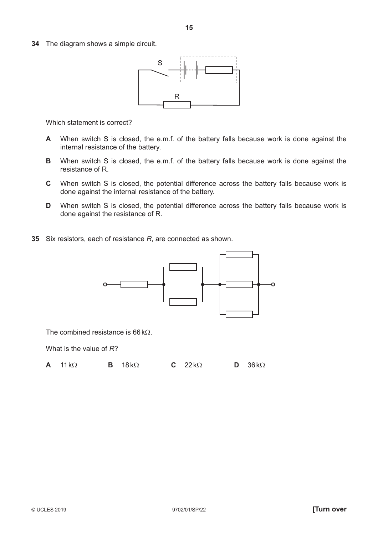**34** The diagram shows a simple circuit.



Which statement is correct?

- **A** When switch S is closed, the e.m.f. of the battery falls because work is done against the internal resistance of the battery.
- **B** When switch S is closed, the e.m.f. of the battery falls because work is done against the resistance of R.
- **C** When switch S is closed, the potential difference across the battery falls because work is done against the internal resistance of the battery.
- **D** When switch S is closed, the potential difference across the battery falls because work is done against the resistance of R.
- **35** Six resistors, each of resistance *R*, are connected as shown.



The combined resistance is  $66 kO$ .

What is the value of *R*?

**A** 11 k $\Omega$  **B** 18 k $\Omega$  **C** 22 k $\Omega$  **D** 36 k $\Omega$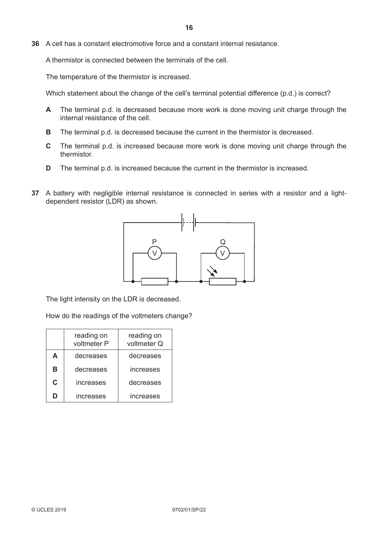**36** A cell has a constant electromotive force and a constant internal resistance.

A thermistor is connected between the terminals of the cell.

The temperature of the thermistor is increased.

Which statement about the change of the cell's terminal potential difference (p.d.) is correct?

- **A** The terminal p.d. is decreased because more work is done moving unit charge through the internal resistance of the cell.
- **B** The terminal p.d. is decreased because the current in the thermistor is decreased.
- **C** The terminal p.d. is increased because more work is done moving unit charge through the thermistor.
- **D** The terminal p.d. is increased because the current in the thermistor is increased.
- **37** A battery with negligible internal resistance is connected in series with a resistor and a lightdependent resistor (LDR) as shown.



The light intensity on the LDR is decreased.

How do the readings of the voltmeters change?

|    | reading on<br>voltmeter P | reading on<br>voltmeter Q |
|----|---------------------------|---------------------------|
| A  | decreases                 | decreases                 |
| в  | decreases                 | increases                 |
| C. | increases                 | decreases                 |
|    | increases                 | increases                 |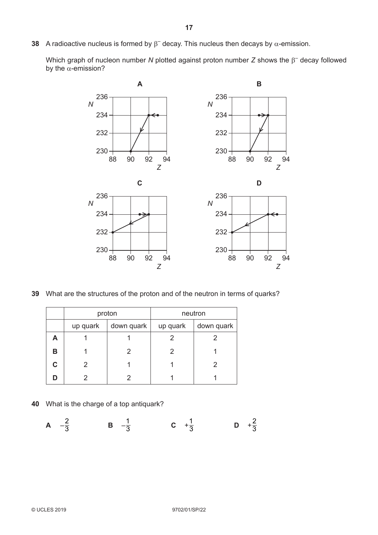A radioactive nucleus is formed by  $\beta^-$  decay. This nucleus then decays by  $\alpha$ -emission.

Which graph of nucleon number N plotted against proton number  $Z$  shows the  $\beta^-$  decay followed by the  $\alpha$ -emission?



What are the structures of the proton and of the neutron in terms of quarks?

|   | proton                 |  | neutron  |            |
|---|------------------------|--|----------|------------|
|   | down quark<br>up quark |  | up quark | down quark |
| А |                        |  |          |            |
| В |                        |  |          |            |
|   |                        |  |          |            |
|   |                        |  |          |            |

What is the charge of a top antiquark?

A 
$$
-\frac{2}{3}
$$
 \t\t B  $-\frac{1}{3}$  \t\t C  $+\frac{1}{3}$  \t\t D  $+\frac{2}{3}$